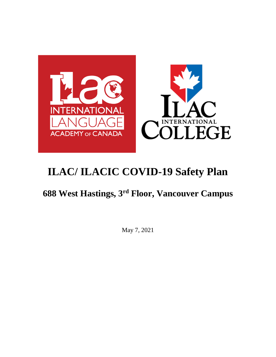

## **688 West Hastings, 3rd Floor, Vancouver Campus**

May 7, 2021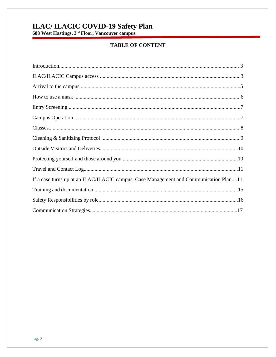# **ILAC/ ILACIC COVID-19 Safety Plan**<br>688 West Hastings, 3<sup>rd</sup> Floor, Vancouver campus

## **TABLE OF CONTENT**

| If a case turns up at an ILAC/ILACIC campus. Case Management and Communication Plan11 |
|---------------------------------------------------------------------------------------|
|                                                                                       |
|                                                                                       |
|                                                                                       |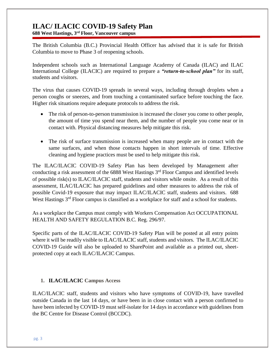**688 West Hastings, 3rd Floor, Vancouver campus**

The British Columbia (B.C.) Provincial Health Officer has advised that it is safe for British Columbia to move to Phase 3 of reopening schools.

Independent schools such as International Language Academy of Canada (ILAC) and ILAC International College (ILACIC) are required to prepare a *"return-to-school plan"* for its staff, students and visitors.

The virus that causes COVID-19 spreads in several ways, including through droplets when a person coughs or sneezes, and from touching a contaminated surface before touching the face. Higher risk situations require adequate protocols to address the risk.

- The risk of person-to-person transmission is increased the closer you come to other people, the amount of time you spend near them, and the number of people you come near or in contact with. Physical distancing measures help mitigate this risk.
- The risk of surface transmission is increased when many people are in contact with the same surfaces, and when those contacts happen in short intervals of time. Effective cleaning and hygiene practices must be used to help mitigate this risk.

The ILAC/ILACIC COVID-19 Safety Plan has been developed by Management after conducting a risk assessment of the  $6888$  West Hastings  $3<sup>rd</sup>$  Floor Campus and identified levels of possible risk(s) to ILAC/ILACIC staff, students and visitors while onsite. As a result of this assessment, ILAC/ILACIC has prepared guidelines and other measures to address the risk of possible Covid-19 exposure that may impact ILAC/ILACIC staff, students and visitors. 688 West Hastings 3<sup>rd</sup> Floor campus is classified as a workplace for staff and a school for students.

As a workplace the Campus must comply with Workers Compensation Act OCCUPATIONAL HEALTH AND SAFETY REGULATION B.C. Reg. 296/97.

Specific parts of the ILAC/ILACIC COVID-19 Safety Plan will be posted at all entry points where it will be readily visible to ILAC/ILACIC staff, students and visitors. The ILAC/ILACIC COVID-19 Guide will also be uploaded to SharePoint and available as a printed out, sheetprotected copy at each ILAC/ILACIC Campus.

#### **1. ILAC/ILACIC Campus Access**

ILAC/ILACIC staff, students and visitors who have symptoms of COVID-19, have travelled outside Canada in the last 14 days, or have been in in close contact with a person confirmed to have been infected by COVID-19 must self-isolate for 14 days in accordance with guidelines from the [BC Centre for Disease Control](http://www.bccdc.ca/health-info/diseases-conditions/covid-19/about-covid-19/if-you-are-sick) (BCCDC).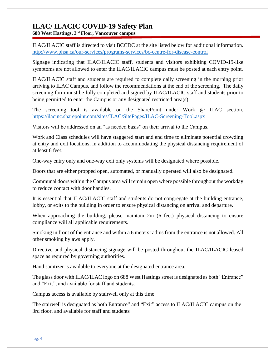**688 West Hastings, 3rd Floor, Vancouver campus**

ILAC/ILACIC staff is directed to visit BCCDC at the site listed below for additional information. <http://www.phsa.ca/our-services/programs-services/bc-centre-for-disease-control>

Signage indicating that ILAC/ILACIC staff, students and visitors exhibiting COVID-19-like symptoms are not allowed to enter the ILAC/ILACIC campus must be posted at each entry point.

ILAC/ILACIC staff and students are required to complete daily screening in the morning prior arriving to ILAC Campus, and follow the recommendations at the end of the screening. The daily screening form must be fully completed and signed by ILAC/ILACIC staff and students prior to being permitted to enter the Campus or any designated restricted area(s).

The screening tool is available on the SharePoint under Work @ ILAC section. <https://ilacinc.sharepoint.com/sites/ILAC/SitePages/ILAC-Screening-Tool.aspx>

Visitors will be addressed on an "as needed basis" on their arrival to the Campus.

Work and Class schedules will have staggered start and end time to eliminate potential crowding at entry and exit locations, in addition to accommodating the physical distancing requirement of at least 6 feet.

One-way entry only and one-way exit only systems will be designated where possible.

Doors that are either propped open, automated, or manually operated will also be designated.

Communal doors within the Campus area will remain open where possible throughout the workday to reduce contact with door handles.

It is essential that ILAC/ILACIC staff and students do not congregate at the building entrance, lobby, or exits to the building in order to ensure physical distancing on arrival and departure.

When approaching the building, please maintain 2m (6 feet) physical distancing to ensure compliance will all applicable requirements.

Smoking in front of the entrance and within a 6 meters radius from the entrance is not allowed. All other smoking bylaws apply.

Directive and physical distancing signage will be posted throughout the ILAC/ILACIC leased space as required by governing authorities.

Hand sanitizer is available to everyone at the designated entrance area.

The glass door with ILAC/ILAC logo on 688 West Hastings street is designated as both "Entrance" and "Exit", and available for staff and students.

Campus access is available by stairwell only at this time.

The stairwell is designated as both Entrance" and "Exit" access to ILAC/ILACIC campus on the 3rd floor, and available for staff and students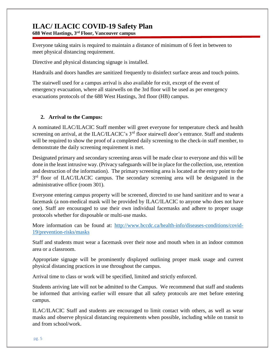**688 West Hastings, 3rd Floor, Vancouver campus**

Everyone taking stairs is required to maintain a distance of minimum of 6 feet in between to meet physical distancing requirement.

Directive and physical distancing signage is installed.

Handrails and doors handles are sanitized frequently to disinfect surface areas and touch points.

The stairwell used for a campus arrival is also available for exit, except of the event of emergency evacuation, where all stairwells on the 3rd floor will be used as per emergency evacuations protocols of the 688 West Hastings, 3rd floor (HB) campus.

#### **2. Arrival to the Campus:**

A nominated ILAC/ILACIC Staff member will greet everyone for temperature check and health screening on arrival, at the ILAC/ILACIC's 3<sup>rd</sup> floor stairwell door's entrance. Staff and students will be required to show the proof of a completed daily screening to the check-in staff member, to demonstrate the daily screening requirement is met.

Designated primary and secondary screening areas will be made clear to everyone and this will be done in the least intrusive way. (Privacy safeguards will be in place for the collection, use, retention and destruction of the information). The primary screening area is located at the entry point to the 3<sup>rd</sup> floor of ILAC/ILACIC campus. The secondary screening area will be designated in the administrative office (room 301).

Everyone entering campus property will be screened, directed to use hand sanitizer and to wear a facemask (a non-medical mask will be provided by ILAC/ILACIC to anyone who does not have one). Staff are encouraged to use their own individual facemasks and adhere to proper usage protocols whether for disposable or multi-use masks.

More information can be found at: [http://www.bccdc.ca/health-info/diseases-conditions/covid-](http://www.bccdc.ca/health-info/diseases-conditions/covid-19/prevention-risks/masks)[19/prevention-risks/masks](http://www.bccdc.ca/health-info/diseases-conditions/covid-19/prevention-risks/masks)

Staff and students must wear a facemask over their nose and mouth when in an indoor common area or a classroom.

Appropriate signage will be prominently displayed outlining proper mask usage and current physical distancing practices in use throughout the campus.

Arrival time to class or work will be specified, limited and strictly enforced.

Students arriving late will not be admitted to the Campus. We recommend that staff and students be informed that arriving earlier will ensure that all safety protocols are met before entering campus.

ILAC/ILACIC Staff and students are encouraged to limit contact with others, as well as wear masks and observe physical distancing requirements when possible, including while on transit to and from school/work.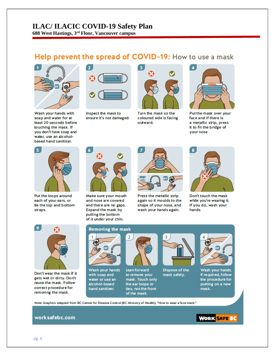**688 West Hastings, 3rd Floor, Vancouver campus**

## Help prevent the spread of COVID-19: How to use a mask



Wash your hands with soap and water for at least 20 seconds before touching the mask. If you don't have soap and water, use an alcoholbased hand sanitizer.



Inspect the mask to ensure it's not damaged.



Turn the mask so the coloured side is facing outward.



Put the mask over your face and if there is a metallic strip, press it to fit the bridge of your nose



Put the loops around each of your ears, or tie the top and bottom straps.



Make sure your mouth and nose are covered and there are no gaps. Expand the mask by pulling the bottom of it under your chin.



Press the metallic strip again so it moulds to the shape of your nose, and wash your hands again.



Don't touch the mask while you're wearing it. If you do, wash your hands.



Don't wear the mask if it gets wet or dirty. Don't reuse the mask. Follow correct procedure for removing the mask.

#### **Removing the mask**



Wash your hands with soap and water or use an alcohol-based hand sanitizer.



**Lean forward** to remove your mask. Touch only the ear loops or ties, not the front of the mask.

 $\overline{2}$ 



Dispose of the mask safely.



Wash your hands. If required, follow the procedure for putting on a new mask.

Note: Graphics adapted from BC Centre for Disease Control (BC Ministry of Health), "How to wear a face mask."

#### worksafebc.com

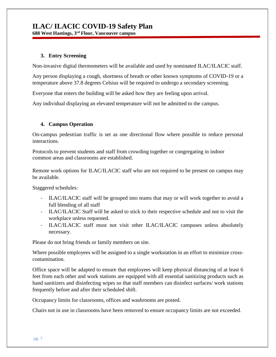**688 West Hastings, 3rd Floor, Vancouver campus**

#### **3. Entry Screening**

Non-invasive digital thermometers will be available and used by nominated ILAC/ILACIC staff.

Any person displaying a cough, shortness of breath or other known symptoms of COVID-19 or a temperature above 37.8 degrees Celsius will be required to undergo a secondary screening.

Everyone that enters the building will be asked how they are feeling upon arrival.

Any individual displaying an elevated temperature will not be admitted to the campus.

#### **4. Campus Operation**

On-campus pedestrian traffic is set as one directional flow where possible to reduce personal interactions.

Protocols to prevent students and staff from crowding together or congregating in indoor common areas and classrooms are established.

Remote work options for ILAC/ILACIC staff who are not required to be present on campus may be available.

Staggered schedules:

- ILAC/ILACIC staff will be grouped into teams that may or will work together to avoid a full blending of all staff
- ILAC/ILACIC Staff will be asked to stick to their respective schedule and not to visit the workplace unless requested.
- ILAC/ILACIC staff must not visit other ILAC/ILACIC campuses unless absolutely necessary.

Please do not bring friends or family members on site.

Where possible employees will be assigned to a single workstation in an effort to minimize crosscontamination.

Office space will be adapted to ensure that employees will keep physical distancing of at least 6 feet from each other and work stations are equipped with all essential sanitizing products such as hand sanitizers and disinfecting wipes so that staff members can disinfect surfaces/ work stations frequently before and after their scheduled shift.

[Occupancy limits](https://www.worksafebc.com/en/resources/health-safety/posters/help-prevent-spread-covid-19-occupancy-limit?lang=en) for classrooms, offices and washrooms are posted.

Chairs not in use in classrooms have been removed to ensure occupancy limits are not exceeded.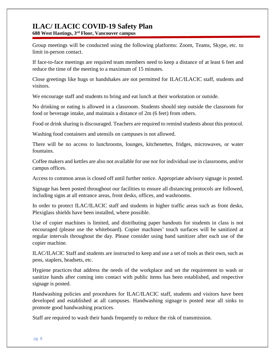**688 West Hastings, 3rd Floor, Vancouver campus**

Group meetings will be conducted using the following platforms: Zoom, Teams, Skype, etc. to limit in-person contact.

If face-to-face meetings are required team members need to keep a distance of at least 6 feet and reduce the time of the meeting to a maximum of 15 minutes.

Close greetings like hugs or handshakes are not permitted for ILAC/ILACIC staff, students and visitors.

We encourage staff and students to bring and eat lunch at their workstation or outside.

No drinking or eating is allowed in a classroom. Students should step outside the classroom for food or beverage intake, and maintain a distance of 2m (6 feet) from others.

Food or drink sharing is discouraged. Teachers are required to remind students about this protocol.

Washing food containers and utensils on campuses is not allowed.

There will be no access to lunchrooms, lounges, kitchenettes, fridges, microwaves, or water fountains.

Coffee makers and kettles are also not available for use nor for individual use in classrooms, and/or campus offices.

Access to common areas is closed off until further notice. Appropriate advisory signage is posted.

Signage has been posted throughout our facilities to ensure all distancing protocols are followed, including signs at all entrance areas, front desks, offices, and washrooms.

In order to protect ILAC/ILACIC staff and students in higher traffic areas such as front desks, Plexiglass shields have been installed, where possible.

Use of copier machines is limited, and distributing paper handouts for students in class is not encouraged (please use the whiteboard). Copier machines' touch surfaces will be sanitized at regular intervals throughout the day. Please consider using hand sanitizer after each use of the copier machine.

ILAC/ILACIC Staff and students are instructed to keep and use a set of tools as their own, such as pens, staplers, headsets, etc.

[Hygiene practices](https://www.worksafebc.com/en/resources/health-safety/posters/help-prevent-spread-covid-19-handwashing?lang=en) that address the needs of the workplace and set the requirement to wash or sanitize hands after coming into contact with public items has been established, and respective signage is posted.

Handwashing policies and procedures for ILAC/ILACIC staff, students and visitors have been developed and established at all campuses. [Handwashing signage](https://www.worksafebc.com/en/resources/health-safety/posters/help-prevent-spread-covid-19-handwashing?lang=en) is posted near all sinks to promote good handwashing practices.

Staff are required to wash their hands frequently to reduce the risk of transmission.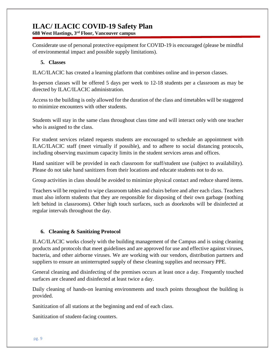**688 West Hastings, 3rd Floor, Vancouver campus**

Considerate use of personal protective equipment for COVID-19 is encouraged (please be mindful of environmental impact and possible supply limitations).

#### **5. Classes**

ILAC/ILACIC has created a learning platform that combines online and in-person classes.

In-person classes will be offered 5 days per week to 12-18 students per a classroom as may be directed by ILAC/ILACIC administration.

Access to the building is only allowed for the duration of the class and timetables will be staggered to minimize encounters with other students.

Students will stay in the same class throughout class time and will interact only with one teacher who is assigned to the class.

For student services related requests students are encouraged to schedule an appointment with ILAC/ILACIC staff (meet virtually if possible), and to adhere to social distancing protocols, including observing maximum capacity limits in the student services areas and offices.

Hand sanitizer will be provided in each classroom for staff/student use (subject to availability). Please do not take hand sanitizers from their locations and educate students not to do so.

Group activities in class should be avoided to minimize physical contact and reduce shared items.

Teachers will be required to wipe classroom tables and chairs before and after each class. Teachers must also inform students that they are responsible for disposing of their own garbage (nothing left behind in classrooms). Other high touch surfaces, such as doorknobs will be disinfected at regular intervals throughout the day.

#### **6. Cleaning & Sanitizing Protocol**

ILAC/ILACIC works closely with the building management of the Campus and is using cleaning products and protocols that meet guidelines and are approved for use and effective against viruses, bacteria, and other airborne viruses. We are working with our vendors, distribution partners and suppliers to ensure an uninterrupted supply of these cleaning supplies and necessary PPE.

General cleaning and disinfecting of the premises occurs at least once a day. Frequently touched surfaces are cleaned and disinfected at least twice a day.

Daily cleaning of hands-on learning environments and touch points throughout the building is provided.

Sanitization of all stations at the beginning and end of each class.

Sanitization of student-facing counters.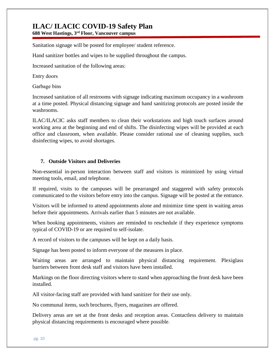**688 West Hastings, 3rd Floor, Vancouver campus**

Sanitation signage will be posted for employee/ student reference.

Hand sanitizer bottles and wipes to be supplied throughout the campus.

Increased sanitation of the following areas:

Entry doors 

Garbage bins 

Increased sanitation of all restrooms with signage indicating maximum occupancy in a washroom at a time posted. Physical distancing signage and hand sanitizing protocols are posted inside the washrooms.

ILAC/ILACIC asks staff members to clean their workstations and high touch surfaces around working area at the beginning and end of shifts. The disinfecting wipes will be provided at each office and classroom, when available. Please consider rational use of cleaning supplies, such disinfecting wipes, to avoid shortages.

#### **7. Outside Visitors and Deliveries**

Non-essential in-person interaction between staff and visitors is minimized by using virtual meeting tools, email, and telephone.

If required, visits to the campuses will be prearranged and staggered with safety protocols communicated to the visitors before entry into the campus. Signage will be posted at the entrance.

Visitors will be informed to attend appointments alone and minimize time spent in waiting areas before their appointments. Arrivals earlier than 5 minutes are not available.

When booking appointments, visitors are reminded to reschedule if they experience symptoms typical of COVID-19 or are required to self-isolate.

A record of visitors to the campuses will be kept on a daily basis.

Signage has been posted to inform everyone of the measures in place.

Waiting areas are arranged to maintain physical distancing requirement. Plexiglass barriers between front desk staff and visitors have been installed.

Markings on the floor directing visitors where to stand when approaching the front desk have been installed.

All visitor-facing staff are provided with hand sanitizer for their use only.

No communal items, such brochures, flyers, magazines are offered.

Delivery areas are set at the front desks and reception areas. Contactless delivery to maintain physical distancing requirements is encouraged where possible.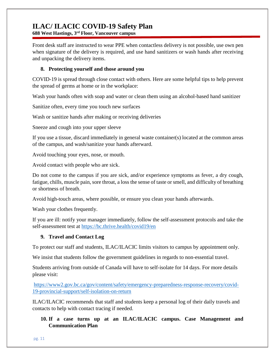**688 West Hastings, 3rd Floor, Vancouver campus**

Front desk staff are instructed to wear PPE when contactless delivery is not possible, use own pen when signature of the delivery is required, and use hand sanitizers or wash hands after receiving and unpacking the delivery items.

#### **8. Protecting yourself and those around you**

COVID-19 is spread through close contact with others. Here are some helpful tips to help prevent the spread of germs at home or in the workplace:

Wash your hands often with soap and water or clean them using an alcohol-based hand sanitizer

Sanitize often, every time you touch new surfaces

Wash or sanitize hands after making or receiving deliveries

Sneeze and cough into your upper sleeve

If you use a tissue, discard immediately in general waste container(s) located at the common areas of the campus, and wash/sanitize your hands afterward.

Avoid touching your eyes, nose, or mouth.

Avoid contact with people who are sick.

Do not come to the campus if you are sick, and/or experience symptoms as fever, a dry cough, fatigue, chills, muscle pain, sore throat, a loss the sense of taste or smell, and difficulty of breathing or shortness of breath.

Avoid high-touch areas, where possible, or ensure you clean your hands afterwards.

Wash your clothes frequently.

If you are ill: notify your manager immediately, follow the self-assessment protocols and take the self-assessment test at <https://bc.thrive.health/covid19/en>

#### **9. Travel and Contact Log**

To protect our staff and students, ILAC/ILACIC limits visitors to campus by appointment only.

We insist that students follow the government guidelines in regards to non-essential travel.

Students arriving from outside of Canada will have to self-isolate for 14 days. For more details please visit:

[https://www2.gov.bc.ca/gov/content/safety/emergency-preparedness-response-recovery/covid-](https://www2.gov.bc.ca/gov/content/safety/emergency-preparedness-response-recovery/covid-19-provincial-support/self-isolation-on-return)[19-provincial-support/self-isolation-on-return](https://www2.gov.bc.ca/gov/content/safety/emergency-preparedness-response-recovery/covid-19-provincial-support/self-isolation-on-return)

ILAC/ILACIC recommends that staff and students keep a personal log of their daily travels and contacts to help with contact tracing if needed.

#### **10. If a case turns up at an ILAC/ILACIC campus. Case Management and Communication Plan**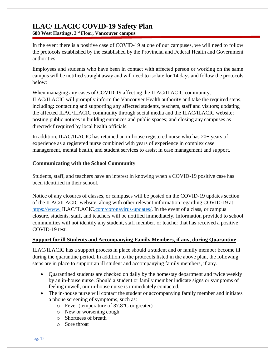**688 West Hastings, 3rd Floor, Vancouver campus**

In the event there is a positive case of COVID-19 at one of our campuses, we will need to follow the protocols established by the established by the Provincial and Federal Health and Government authorities.

Employees and students who have been in contact with affected person or working on the same campus will be notified straight away and will need to isolate for 14 days and follow the protocols below:

When managing any cases of COVID-19 affecting the ILAC/ILACIC community, ILAC/ILACIC will promptly inform the Vancouver Health authority and take the required steps, including: contacting and supporting any affected students, teachers, staff and visitors; updating the affected ILAC/ILACIC community through social media and the ILAC/ILACIC website; posting public notices in building entrances and public spaces; and closing any campuses as directed/if required by local health officials.

In addition, ILAC/ILACIC has retained an in-house registered nurse who has 20+ years of experience as a registered nurse combined with years of experience in complex case management, mental health, and student services to assist in case management and support.

#### **Communicating with the School Community**

Students, staff, and teachers have an interest in knowing when a COVID-19 positive case has been identified in their school.

Notice of any closures of classes, or campuses will be posted on the COVID-19 updates section of the ILAC/ILACIC website, along with other relevant information regarding COVID-19 at https://www. [ILAC/ILACIC.com/coronavirus-updates/.](https://www.ilac.com/coronavirus-updates/) In the event of a class, or campus closure, students, staff, and teachers will be notified immediately. Information provided to school communities will not identify any student, staff member, or teacher that has received a positive COVID-19 test.

#### **Support for ill Students and Accompanying Family Members, if any, during Quarantine**

ILAC/ILACIC has a support process in place should a student and or family member become ill during the quarantine period. In addition to the protocols listed in the above plan, the following steps are in place to support an ill student and accompanying family members, if any.

- Quarantined students are checked on daily by the homestay department and twice weekly by an in-house nurse. Should a student or family member indicate signs or symptoms of feeling unwell, our in-house nurse is immediately contacted.
- The in-house nurse will contact the student or accompanying family member and initiates a phone screening of symptoms, such as:
	- o Fever (temperature of 37.8°C or greater)
	- o New or worsening cough
	- o Shortness of breath
	- o Sore throat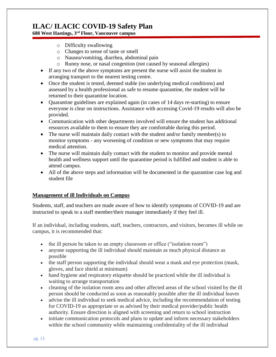**688 West Hastings, 3rd Floor, Vancouver campus**

- o Difficulty swallowing
- o Changes to sense of taste or smell
- o Nausea/vomiting, diarrhea, abdominal pain
- o Runny nose, or nasal congestion (not caused by seasonal allergies)
- If any two of the above symptoms are present the nurse will assist the student in arranging transport to the nearest testing centre.
- Once the student is tested, deemed stable (no underlying medical conditions) and assessed by a health professional as safe to resume quarantine, the student will be returned to their quarantine location.
- Quarantine guidelines are explained again (in cases of 14 days re-starting) to ensure everyone is clear on instructions. Assistance with accessing Covid-19 results will also be provided.
- Communication with other departments involved will ensure the student has additional resources available to them to ensure they are comfortable during this period.
- The nurse will maintain daily contact with the student and/or family member(s) to monitor symptoms - any worsening of condition or new symptoms that may require medical attention.
- The nurse will maintain daily contact with the student to monitor and provide mental health and wellness support until the quarantine period is fulfilled and student is able to attend campus.
- All of the above steps and information will be documented in the quarantine case log and student file

#### **Management of ill Individuals on Campus**

Students, staff, and teachers are made aware of how to identify symptoms of COVID-19 and are instructed to speak to a staff member/their manager immediately if they feel ill.

If an individual, including students, staff, teachers, contractors, and visitors, becomes ill while on campus, it is recommended that:

- the ill person be taken to an empty classroom or office ("isolation room")
- anyone supporting the ill individual should maintain as much physical distance as possible
- the staff person supporting the individual should wear a mask and eye protection (mask, gloves, and face shield at minimum)
- hand hygiene and respiratory etiquette should be practiced while the ill individual is waiting to arrange transportation
- cleaning of the isolation room area and other affected areas of the school visited by the ill person should be conducted as soon as reasonably possible after the ill individual leaves
- advise the ill individual to seek medical advice, including the recommendation of testing for COVID-19 as appropriate or as advised by their medical provider/public health authority. Ensure direction is aligned with screening and return to school instruction
- $\bullet$  initiate communication protocols and plans to update and inform necessary stakeholders within the school community while maintaining confidentiality of the ill individual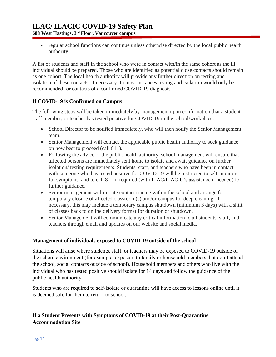**688 West Hastings, 3rd Floor, Vancouver campus**

• regular school functions can continue unless otherwise directed by the local public health authority

A list of students and staff in the school who were in contact with/in the same cohort as the ill individual should be prepared. Those who are identified as potential close contacts should remain as one cohort. The local health authority will provide any further direction on testing and isolation of these contacts, if necessary. In most instances testing and isolation would only be recommended for contacts of a confirmed COVID-19 diagnosis.

#### **If COVID-19 is Confirmed on Campus**

The following steps will be taken immediately by management upon confirmation that a student, staff member, or teacher has tested positive for COVID-19 in the school/workplace:

- School Director to be notified immediately, who will then notify the Senior Management team.
- Senior Management will contact the applicable public health authority to seek guidance on how best to proceed (call 811).
- Following the advice of the public health authority, school management will ensure that affected persons are immediately sent home to isolate and await guidance on further isolation/ testing requirements. Students, staff, and teachers who have been in contact with someone who has tested positive for COVID-19 will be instructed to self-monitor for symptoms, and to call 811 if required (with ILAC/ILACIC's assistance if needed) for further guidance.
- Senior management will initiate contact tracing within the school and arrange for temporary closure of affected classroom(s) and/or campus for deep cleaning. If necessary, this may include a temporary campus shutdown (minimum 3 days) with a shift of classes back to online delivery format for duration of shutdown.
- Senior Management will communicate any critical information to all students, staff, and teachers through email and updates on our website and social media.

#### **Management of individuals exposed to COVID-19 outside of the school**

Situations will arise where students, staff, or teachers may be exposed to COVID-19 outside of the school environment (for example, exposure to family or household members that don't attend the school, social contacts outside of school). Household members and others who live with the individual who has tested positive should isolate for 14 days and follow the guidance of the public health authority.

Students who are required to self-isolate or quarantine will have access to lessons online until it is deemed safe for them to return to school.

#### **If a Student Presents with Symptoms of COVID-19 at their Post-Quarantine Accommodation Site**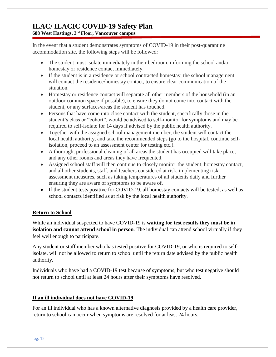**688 West Hastings, 3rd Floor, Vancouver campus**

In the event that a student demonstrates symptoms of COVID-19 in their post-quarantine accommodation site, the following steps will be followed:

- The student must isolate immediately in their bedroom, informing the school and/or homestay or residence contact immediately.
- If the student is in a residence or school contracted homestay, the school management will contact the residence/homestay contact, to ensure clear communication of the situation.
- Homestay or residence contact will separate all other members of the household (in an outdoor common space if possible), to ensure they do not come into contact with the student, or any surfaces/areas the student has touched.
- Persons that have come into close contact with the student, specifically those in the student's class or "cohort", would be advised to self-monitor for symptoms and may be required to self-isolate for 14 days if advised by the public health authority.
- Together with the assigned school management member, the student will contact the local health authority, and take the recommended steps (go to the hospital, continue selfisolation, proceed to an assessment center for testing etc.).
- A thorough, professional cleaning of all areas the student has occupied will take place, and any other rooms and areas they have frequented.
- Assigned school staff will then continue to closely monitor the student, homestay contact, and all other students, staff, and teachers considered at risk, implementing risk assessment measures, such as taking temperatures of all students daily and further ensuring they are aware of symptoms to be aware of.
- If the student tests positive for COVID-19, all homestay contacts will be tested, as well as school contacts identified as at risk by the local health authority.

#### **Return to School**

While an individual suspected to have COVID-19 is **waiting for test results they must be in isolation and cannot attend school in person**. The individual can attend school virtually if they feel well enough to participate.

Any student or staff member who has tested positive for COVID-19, or who is required to selfisolate, will not be allowed to return to school until the return date advised by the public health authority.

Individuals who have had a COVID-19 test because of symptoms, but who test negative should not return to school until at least 24 hours after their symptoms have resolved.

#### **If an ill individual does not have COVID-19**

For an ill individual who has a known alternative diagnosis provided by a health care provider, return to school can occur when symptoms are resolved for at least 24 hours.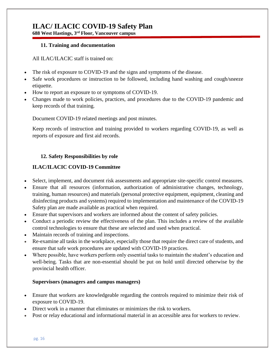**688 West Hastings, 3rd Floor, Vancouver campus**

#### **11. Training and documentation**

All ILAC/ILACIC staff is trained on:

- The risk of exposure to COVID-19 and the signs and symptoms of the disease.
- Safe work procedures or instruction to be followed, including hand washing and cough/sneeze etiquette.
- How to report an exposure to or symptoms of COVID-19.
- Changes made to work policies, practices, and procedures due to the COVID-19 pandemic and keep records of that training.

Document COVID-19 related meetings and post minutes.

Keep records of instruction and training provided to workers regarding COVID-19, as well as reports of exposure and first aid records.

#### **12. Safety Responsibilities by role**

#### **ILAC/ILACIC COVID-19 Committee**

- Select, implement, and document risk assessments and appropriate site-specific control measures.
- Ensure that all resources (information, authorization of administrative changes, technology, training, human resources) and materials (personal protective equipment, equipment, cleaning and disinfecting products and systems) required to implementation and maintenance of the COVID-19 Safety plan are made available as practical when required.
- Ensure that supervisors and workers are informed about the content of safety policies.
- Conduct a periodic review the effectiveness of the plan. This includes a review of the available control technologies to ensure that these are selected and used when practical.
- Maintain records of training and inspections.
- Re-examine all tasks in the workplace, especially those that require the direct care of students, and ensure that safe work procedures are updated with COVID-19 practices.
- Where possible, have workers perform only essential tasks to maintain the student's education and well-being. Tasks that are non-essential should be put on hold until directed otherwise by the provincial health officer.

#### **Supervisors (managers and campus managers)**

- Ensure that workers are knowledgeable regarding the controls required to minimize their risk of exposure to COVID-19.
- Direct work in a manner that eliminates or minimizes the risk to workers.
- Post or relay educational and informational material in an accessible area for workers to review.